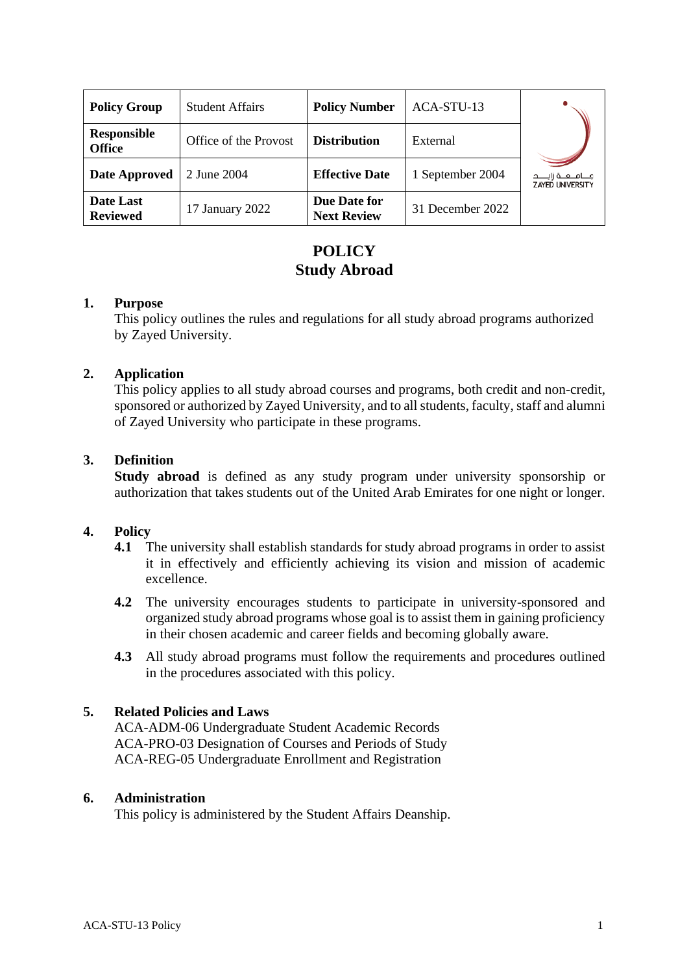| <b>Policy Group</b>                 | <b>Student Affairs</b> | <b>Policy Number</b>               | ACA-STU-13       |                                                     |
|-------------------------------------|------------------------|------------------------------------|------------------|-----------------------------------------------------|
| <b>Responsible</b><br><b>Office</b> | Office of the Provost  | <b>Distribution</b>                | External         |                                                     |
| <b>Date Approved</b>                | 2 June 2004            | <b>Effective Date</b>              | 1 September 2004 | مــــامـــــه زايــــــد<br><b>ZAYED UNIVERSITY</b> |
| Date Last<br><b>Reviewed</b>        | 17 January 2022        | Due Date for<br><b>Next Review</b> | 31 December 2022 |                                                     |

# **POLICY Study Abroad**

## **1. Purpose**

This policy outlines the rules and regulations for all study abroad programs authorized by Zayed University.

## **2. Application**

This policy applies to all study abroad courses and programs, both credit and non-credit, sponsored or authorized by Zayed University, and to all students, faculty, staff and alumni of Zayed University who participate in these programs.

### **3. Definition**

**Study abroad** is defined as any study program under university sponsorship or authorization that takes students out of the United Arab Emirates for one night or longer.

#### **4. Policy**

- **4.1** The university shall establish standards for study abroad programs in order to assist it in effectively and efficiently achieving its vision and mission of academic excellence.
- **4.2** The university encourages students to participate in university-sponsored and organized study abroad programs whose goal is to assist them in gaining proficiency in their chosen academic and career fields and becoming globally aware.
- **4.3** All study abroad programs must follow the requirements and procedures outlined in the procedures associated with this policy.

## **5. Related Policies and Laws**

ACA-ADM-06 Undergraduate Student Academic Records ACA-PRO-03 Designation of Courses and Periods of Study ACA-REG-05 Undergraduate Enrollment and Registration

#### **6. Administration**

This policy is administered by the Student Affairs Deanship.